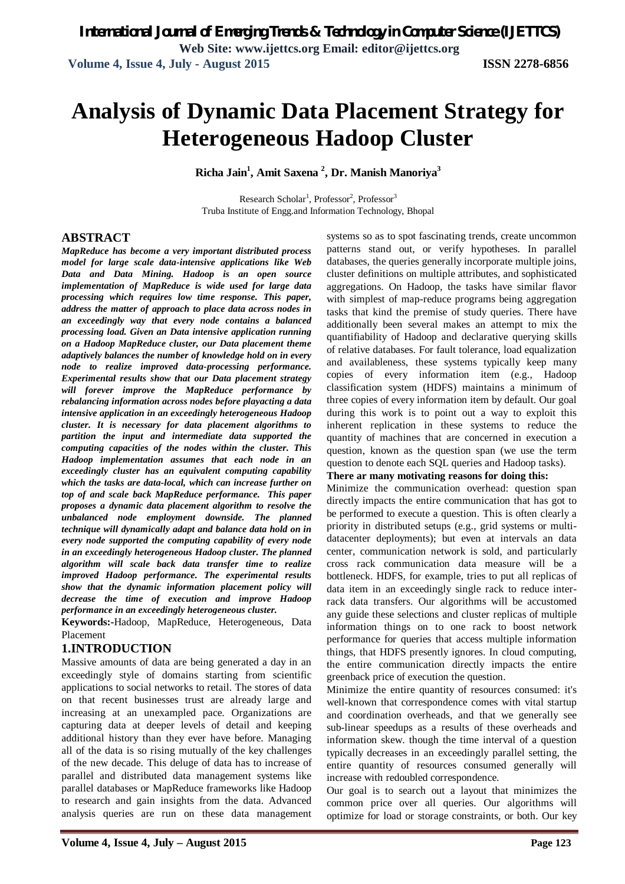# **Analysis of Dynamic Data Placement Strategy for Heterogeneous Hadoop Cluster**

**Richa Jain<sup>1</sup> , Amit Saxena <sup>2</sup> , Dr. Manish Manoriya<sup>3</sup>**

Research Scholar<sup>1</sup>, Professor<sup>2</sup>, Professor<sup>3</sup> Truba Institute of Engg.and Information Technology, Bhopal

#### **ABSTRACT**

*MapReduce has become a very important distributed process model for large scale data-intensive applications like Web Data and Data Mining. Hadoop is an open source implementation of MapReduce is wide used for large data processing which requires low time response. This paper, address the matter of approach to place data across nodes in an exceedingly way that every node contains a balanced processing load. Given an Data intensive application running on a Hadoop MapReduce cluster, our Data placement theme adaptively balances the number of knowledge hold on in every node to realize improved data-processing performance. Experimental results show that our Data placement strategy will forever improve the MapReduce performance by rebalancing information across nodes before playacting a data intensive application in an exceedingly heterogeneous Hadoop cluster. It is necessary for data placement algorithms to partition the input and intermediate data supported the computing capacities of the nodes within the cluster. This Hadoop implementation assumes that each node in an exceedingly cluster has an equivalent computing capability which the tasks are data-local, which can increase further on top of and scale back MapReduce performance. This paper proposes a dynamic data placement algorithm to resolve the unbalanced node employment downside. The planned technique will dynamically adapt and balance data hold on in every node supported the computing capability of every node in an exceedingly heterogeneous Hadoop cluster. The planned algorithm will scale back data transfer time to realize improved Hadoop performance. The experimental results show that the dynamic information placement policy will decrease the time of execution and improve Hadoop performance in an exceedingly heterogeneous cluster.*

**Keywords:-**Hadoop, MapReduce, Heterogeneous, Data Placement

#### **1.INTRODUCTION**

Massive amounts of data are being generated a day in an exceedingly style of domains starting from scientific applications to social networks to retail. The stores of data on that recent businesses trust are already large and increasing at an unexampled pace. Organizations are capturing data at deeper levels of detail and keeping additional history than they ever have before. Managing all of the data is so rising mutually of the key challenges of the new decade. This deluge of data has to increase of parallel and distributed data management systems like parallel databases or MapReduce frameworks like Hadoop to research and gain insights from the data. Advanced analysis queries are run on these data management

systems so as to spot fascinating trends, create uncommon patterns stand out, or verify hypotheses. In parallel databases, the queries generally incorporate multiple joins, cluster definitions on multiple attributes, and sophisticated aggregations. On Hadoop, the tasks have similar flavor with simplest of map-reduce programs being aggregation tasks that kind the premise of study queries. There have additionally been several makes an attempt to mix the quantifiability of Hadoop and declarative querying skills of relative databases. For fault tolerance, load equalization and availableness, these systems typically keep many copies of every information item (e.g., Hadoop classification system (HDFS) maintains a minimum of three copies of every information item by default. Our goal during this work is to point out a way to exploit this inherent replication in these systems to reduce the quantity of machines that are concerned in execution a question, known as the question span (we use the term question to denote each SQL queries and Hadoop tasks).

#### **There ar many motivating reasons for doing this:**

Minimize the communication overhead: question span directly impacts the entire communication that has got to be performed to execute a question. This is often clearly a priority in distributed setups (e.g., grid systems or multidatacenter deployments); but even at intervals an data center, communication network is sold, and particularly cross rack communication data measure will be a bottleneck. HDFS, for example, tries to put all replicas of data item in an exceedingly single rack to reduce interrack data transfers. Our algorithms will be accustomed any guide these selections and cluster replicas of multiple information things on to one rack to boost network performance for queries that access multiple information things, that HDFS presently ignores. In cloud computing, the entire communication directly impacts the entire greenback price of execution the question.

Minimize the entire quantity of resources consumed: it's well-known that correspondence comes with vital startup and coordination overheads, and that we generally see sub-linear speedups as a results of these overheads and information skew. though the time interval of a question typically decreases in an exceedingly parallel setting, the entire quantity of resources consumed generally will increase with redoubled correspondence.

Our goal is to search out a layout that minimizes the common price over all queries. Our algorithms will optimize for load or storage constraints, or both. Our key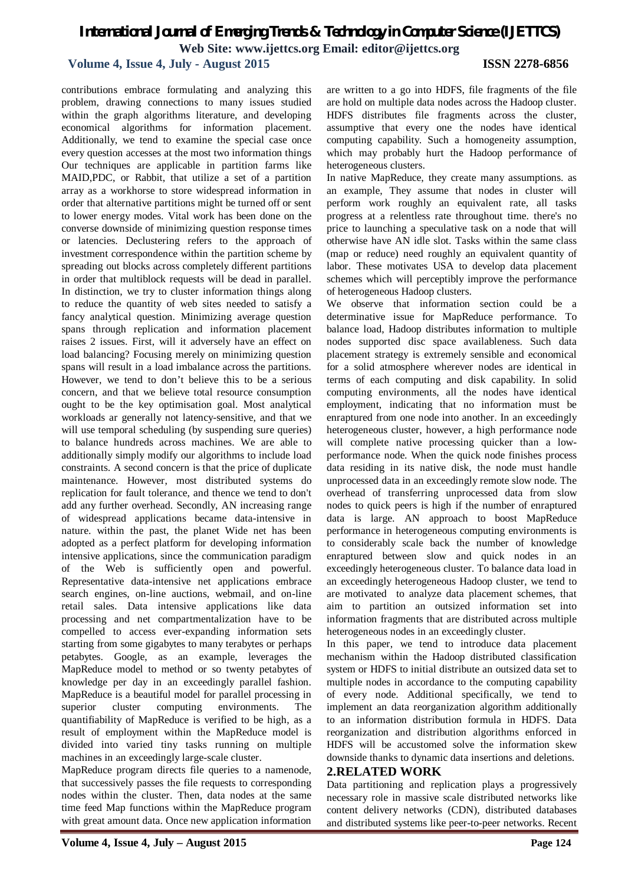#### **Volume 4, Issue 4, July - August 2015 ISSN 2278-6856**

contributions embrace formulating and analyzing this problem, drawing connections to many issues studied within the graph algorithms literature, and developing economical algorithms for information placement. Additionally, we tend to examine the special case once every question accesses at the most two information things Our techniques are applicable in partition farms like MAID,PDC, or Rabbit, that utilize a set of a partition array as a workhorse to store widespread information in order that alternative partitions might be turned off or sent to lower energy modes. Vital work has been done on the converse downside of minimizing question response times or latencies. Declustering refers to the approach of investment correspondence within the partition scheme by spreading out blocks across completely different partitions in order that multiblock requests will be dead in parallel. In distinction, we try to cluster information things along to reduce the quantity of web sites needed to satisfy a fancy analytical question. Minimizing average question spans through replication and information placement raises 2 issues. First, will it adversely have an effect on load balancing? Focusing merely on minimizing question spans will result in a load imbalance across the partitions. However, we tend to don't believe this to be a serious concern, and that we believe total resource consumption ought to be the key optimisation goal. Most analytical workloads ar generally not latency-sensitive, and that we will use temporal scheduling (by suspending sure queries) to balance hundreds across machines. We are able to additionally simply modify our algorithms to include load constraints. A second concern is that the price of duplicate maintenance. However, most distributed systems do replication for fault tolerance, and thence we tend to don't add any further overhead. Secondly, AN increasing range of widespread applications became data-intensive in nature. within the past, the planet Wide net has been adopted as a perfect platform for developing information intensive applications, since the communication paradigm of the Web is sufficiently open and powerful. Representative data-intensive net applications embrace search engines, on-line auctions, webmail, and on-line retail sales. Data intensive applications like data processing and net compartmentalization have to be compelled to access ever-expanding information sets starting from some gigabytes to many terabytes or perhaps petabytes. Google, as an example, leverages the MapReduce model to method or so twenty petabytes of knowledge per day in an exceedingly parallel fashion. MapReduce is a beautiful model for parallel processing in superior cluster computing environments. The quantifiability of MapReduce is verified to be high, as a result of employment within the MapReduce model is divided into varied tiny tasks running on multiple machines in an exceedingly large-scale cluster.

MapReduce program directs file queries to a namenode, that successively passes the file requests to corresponding nodes within the cluster. Then, data nodes at the same time feed Map functions within the MapReduce program with great amount data. Once new application information

are written to a go into HDFS, file fragments of the file are hold on multiple data nodes across the Hadoop cluster. HDFS distributes file fragments across the cluster, assumptive that every one the nodes have identical computing capability. Such a homogeneity assumption, which may probably hurt the Hadoop performance of heterogeneous clusters.

In native MapReduce, they create many assumptions. as an example, They assume that nodes in cluster will perform work roughly an equivalent rate, all tasks progress at a relentless rate throughout time. there's no price to launching a speculative task on a node that will otherwise have AN idle slot. Tasks within the same class (map or reduce) need roughly an equivalent quantity of labor. These motivates USA to develop data placement schemes which will perceptibly improve the performance of heterogeneous Hadoop clusters.

We observe that information section could be a determinative issue for MapReduce performance. To balance load, Hadoop distributes information to multiple nodes supported disc space availableness. Such data placement strategy is extremely sensible and economical for a solid atmosphere wherever nodes are identical in terms of each computing and disk capability. In solid computing environments, all the nodes have identical employment, indicating that no information must be enraptured from one node into another. In an exceedingly heterogeneous cluster, however, a high performance node will complete native processing quicker than a lowperformance node. When the quick node finishes process data residing in its native disk, the node must handle unprocessed data in an exceedingly remote slow node. The overhead of transferring unprocessed data from slow nodes to quick peers is high if the number of enraptured data is large. AN approach to boost MapReduce performance in heterogeneous computing environments is to considerably scale back the number of knowledge enraptured between slow and quick nodes in an exceedingly heterogeneous cluster. To balance data load in an exceedingly heterogeneous Hadoop cluster, we tend to are motivated to analyze data placement schemes, that aim to partition an outsized information set into information fragments that are distributed across multiple heterogeneous nodes in an exceedingly cluster.

In this paper, we tend to introduce data placement mechanism within the Hadoop distributed classification system or HDFS to initial distribute an outsized data set to multiple nodes in accordance to the computing capability of every node. Additional specifically, we tend to implement an data reorganization algorithm additionally to an information distribution formula in HDFS. Data reorganization and distribution algorithms enforced in HDFS will be accustomed solve the information skew downside thanks to dynamic data insertions and deletions.

#### **2.RELATED WORK**

Data partitioning and replication plays a progressively necessary role in massive scale distributed networks like content delivery networks (CDN), distributed databases and distributed systems like peer-to-peer networks. Recent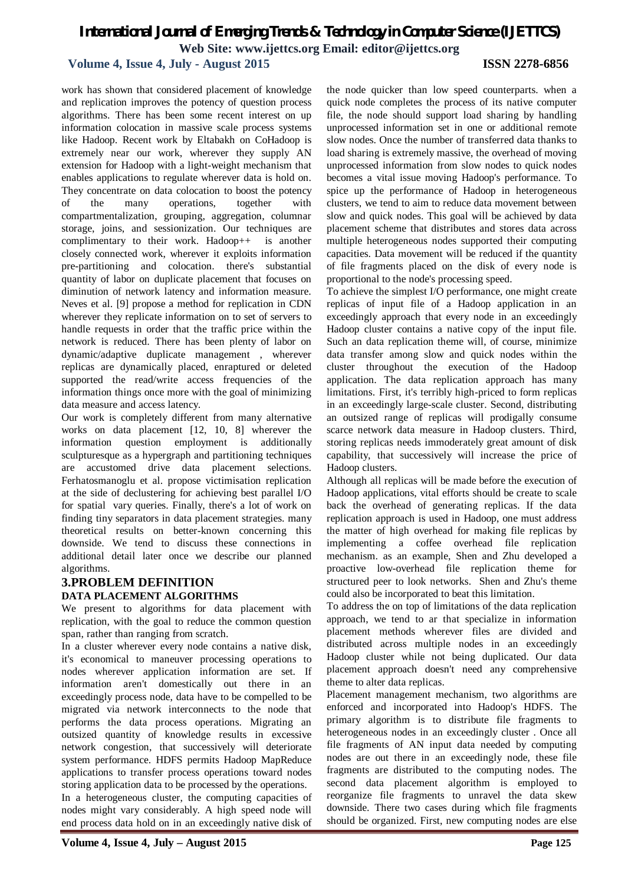#### **Volume 4, Issue 4, July - August 2015 ISSN 2278-6856**

work has shown that considered placement of knowledge and replication improves the potency of question process algorithms. There has been some recent interest on up information colocation in massive scale process systems like Hadoop. Recent work by Eltabakh on CoHadoop is extremely near our work, wherever they supply AN extension for Hadoop with a light-weight mechanism that enables applications to regulate wherever data is hold on. They concentrate on data colocation to boost the potency of the many operations, together with compartmentalization, grouping, aggregation, columnar storage, joins, and sessionization. Our techniques are complimentary to their work. Hadoop++ is another closely connected work, wherever it exploits information pre-partitioning and colocation. there's substantial quantity of labor on duplicate placement that focuses on diminution of network latency and information measure. Neves et al. [9] propose a method for replication in CDN wherever they replicate information on to set of servers to handle requests in order that the traffic price within the network is reduced. There has been plenty of labor on dynamic/adaptive duplicate management , wherever replicas are dynamically placed, enraptured or deleted supported the read/write access frequencies of the information things once more with the goal of minimizing data measure and access latency.

Our work is completely different from many alternative works on data placement [12, 10, 8] wherever the information question employment is additionally sculpturesque as a hypergraph and partitioning techniques are accustomed drive data placement selections. Ferhatosmanoglu et al. propose victimisation replication at the side of declustering for achieving best parallel I/O for spatial vary queries. Finally, there's a lot of work on finding tiny separators in data placement strategies. many theoretical results on better-known concerning this downside. We tend to discuss these connections in additional detail later once we describe our planned algorithms.

#### **3.PROBLEM DEFINITION DATA PLACEMENT ALGORITHMS**

We present to algorithms for data placement with replication, with the goal to reduce the common question span, rather than ranging from scratch.

In a cluster wherever every node contains a native disk, it's economical to maneuver processing operations to nodes wherever application information are set. If information aren't domestically out there in an exceedingly process node, data have to be compelled to be migrated via network interconnects to the node that performs the data process operations. Migrating an outsized quantity of knowledge results in excessive network congestion, that successively will deteriorate system performance. HDFS permits Hadoop MapReduce applications to transfer process operations toward nodes storing application data to be processed by the operations.

In a heterogeneous cluster, the computing capacities of nodes might vary considerably. A high speed node will end process data hold on in an exceedingly native disk of

the node quicker than low speed counterparts. when a quick node completes the process of its native computer file, the node should support load sharing by handling unprocessed information set in one or additional remote slow nodes. Once the number of transferred data thanks to load sharing is extremely massive, the overhead of moving unprocessed information from slow nodes to quick nodes becomes a vital issue moving Hadoop's performance. To spice up the performance of Hadoop in heterogeneous clusters, we tend to aim to reduce data movement between slow and quick nodes. This goal will be achieved by data placement scheme that distributes and stores data across multiple heterogeneous nodes supported their computing capacities. Data movement will be reduced if the quantity of file fragments placed on the disk of every node is proportional to the node's processing speed.

To achieve the simplest I/O performance, one might create replicas of input file of a Hadoop application in an exceedingly approach that every node in an exceedingly Hadoop cluster contains a native copy of the input file. Such an data replication theme will, of course, minimize data transfer among slow and quick nodes within the cluster throughout the execution of the Hadoop application. The data replication approach has many limitations. First, it's terribly high-priced to form replicas in an exceedingly large-scale cluster. Second, distributing an outsized range of replicas will prodigally consume scarce network data measure in Hadoop clusters. Third, storing replicas needs immoderately great amount of disk capability, that successively will increase the price of Hadoop clusters.

Although all replicas will be made before the execution of Hadoop applications, vital efforts should be create to scale back the overhead of generating replicas. If the data replication approach is used in Hadoop, one must address the matter of high overhead for making file replicas by implementing a coffee overhead file replication mechanism. as an example, Shen and Zhu developed a proactive low-overhead file replication theme for structured peer to look networks. Shen and Zhu's theme could also be incorporated to beat this limitation.

To address the on top of limitations of the data replication approach, we tend to ar that specialize in information placement methods wherever files are divided and distributed across multiple nodes in an exceedingly Hadoop cluster while not being duplicated. Our data placement approach doesn't need any comprehensive theme to alter data replicas.

Placement management mechanism, two algorithms are enforced and incorporated into Hadoop's HDFS. The primary algorithm is to distribute file fragments to heterogeneous nodes in an exceedingly cluster . Once all file fragments of AN input data needed by computing nodes are out there in an exceedingly node, these file fragments are distributed to the computing nodes. The second data placement algorithm is employed to reorganize file fragments to unravel the data skew downside. There two cases during which file fragments should be organized. First, new computing nodes are else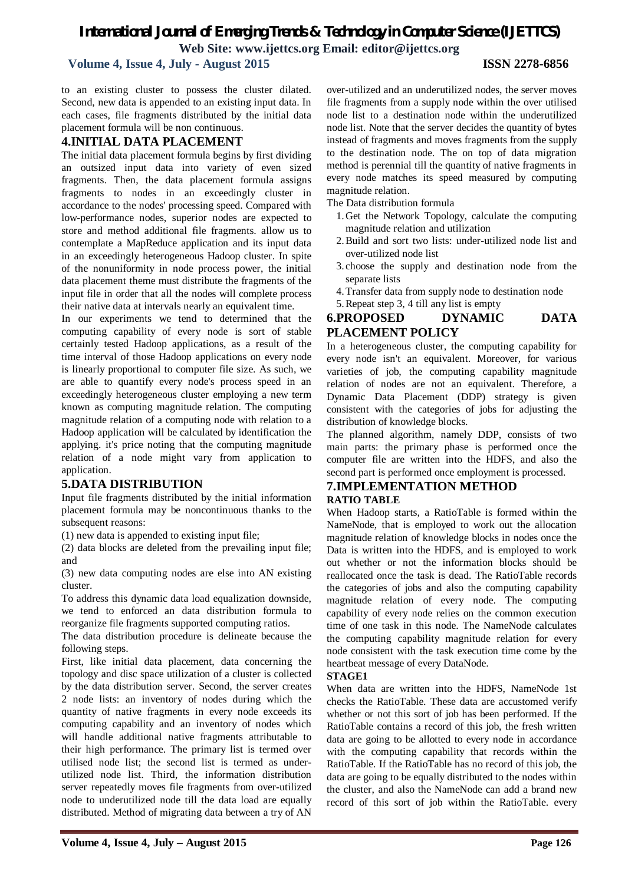## *International Journal of Emerging Trends & Technology in Computer Science (IJETTCS)*

**Web Site: www.ijettcs.org Email: editor@ijettcs.org** 

#### **Volume 4, Issue 4, July - August 2015 ISSN 2278-6856**

to an existing cluster to possess the cluster dilated. Second, new data is appended to an existing input data. In each cases, file fragments distributed by the initial data placement formula will be non continuous.

#### **4.INITIAL DATA PLACEMENT**

The initial data placement formula begins by first dividing an outsized input data into variety of even sized fragments. Then, the data placement formula assigns fragments to nodes in an exceedingly cluster in accordance to the nodes' processing speed. Compared with low-performance nodes, superior nodes are expected to store and method additional file fragments. allow us to contemplate a MapReduce application and its input data in an exceedingly heterogeneous Hadoop cluster. In spite of the nonuniformity in node process power, the initial data placement theme must distribute the fragments of the input file in order that all the nodes will complete process their native data at intervals nearly an equivalent time.

In our experiments we tend to determined that the computing capability of every node is sort of stable certainly tested Hadoop applications, as a result of the time interval of those Hadoop applications on every node is linearly proportional to computer file size. As such, we are able to quantify every node's process speed in an exceedingly heterogeneous cluster employing a new term known as computing magnitude relation. The computing magnitude relation of a computing node with relation to a Hadoop application will be calculated by identification the applying. it's price noting that the computing magnitude relation of a node might vary from application to application.

#### **5.DATA DISTRIBUTION**

Input file fragments distributed by the initial information placement formula may be noncontinuous thanks to the subsequent reasons:

(1) new data is appended to existing input file;

(2) data blocks are deleted from the prevailing input file; and

(3) new data computing nodes are else into AN existing cluster.

To address this dynamic data load equalization downside, we tend to enforced an data distribution formula to reorganize file fragments supported computing ratios.

The data distribution procedure is delineate because the following steps.

First, like initial data placement, data concerning the topology and disc space utilization of a cluster is collected by the data distribution server. Second, the server creates 2 node lists: an inventory of nodes during which the quantity of native fragments in every node exceeds its computing capability and an inventory of nodes which will handle additional native fragments attributable to their high performance. The primary list is termed over utilised node list; the second list is termed as underutilized node list. Third, the information distribution server repeatedly moves file fragments from over-utilized node to underutilized node till the data load are equally distributed. Method of migrating data between a try of AN

over-utilized and an underutilized nodes, the server moves file fragments from a supply node within the over utilised node list to a destination node within the underutilized node list. Note that the server decides the quantity of bytes instead of fragments and moves fragments from the supply to the destination node. The on top of data migration method is perennial till the quantity of native fragments in every node matches its speed measured by computing magnitude relation.

The Data distribution formula

- 1.Get the Network Topology, calculate the computing magnitude relation and utilization
- 2.Build and sort two lists: under-utilized node list and over-utilized node list
- 3. choose the supply and destination node from the separate lists
- 4.Transfer data from supply node to destination node
- 5.Repeat step 3, 4 till any list is empty

#### **6.PROPOSED DYNAMIC DATA PLACEMENT POLICY**

In a heterogeneous cluster, the computing capability for every node isn't an equivalent. Moreover, for various varieties of job, the computing capability magnitude relation of nodes are not an equivalent. Therefore, a Dynamic Data Placement (DDP) strategy is given consistent with the categories of jobs for adjusting the distribution of knowledge blocks.

The planned algorithm, namely DDP, consists of two main parts: the primary phase is performed once the computer file are written into the HDFS, and also the second part is performed once employment is processed.

#### **7.IMPLEMENTATION METHOD RATIO TABLE**

When Hadoop starts, a RatioTable is formed within the NameNode, that is employed to work out the allocation magnitude relation of knowledge blocks in nodes once the Data is written into the HDFS, and is employed to work out whether or not the information blocks should be reallocated once the task is dead. The RatioTable records the categories of jobs and also the computing capability magnitude relation of every node. The computing capability of every node relies on the common execution time of one task in this node. The NameNode calculates the computing capability magnitude relation for every node consistent with the task execution time come by the heartbeat message of every DataNode.

#### **STAGE1**

When data are written into the HDFS, NameNode 1st checks the RatioTable. These data are accustomed verify whether or not this sort of job has been performed. If the RatioTable contains a record of this job, the fresh written data are going to be allotted to every node in accordance with the computing capability that records within the RatioTable. If the RatioTable has no record of this job, the data are going to be equally distributed to the nodes within the cluster, and also the NameNode can add a brand new record of this sort of job within the RatioTable. every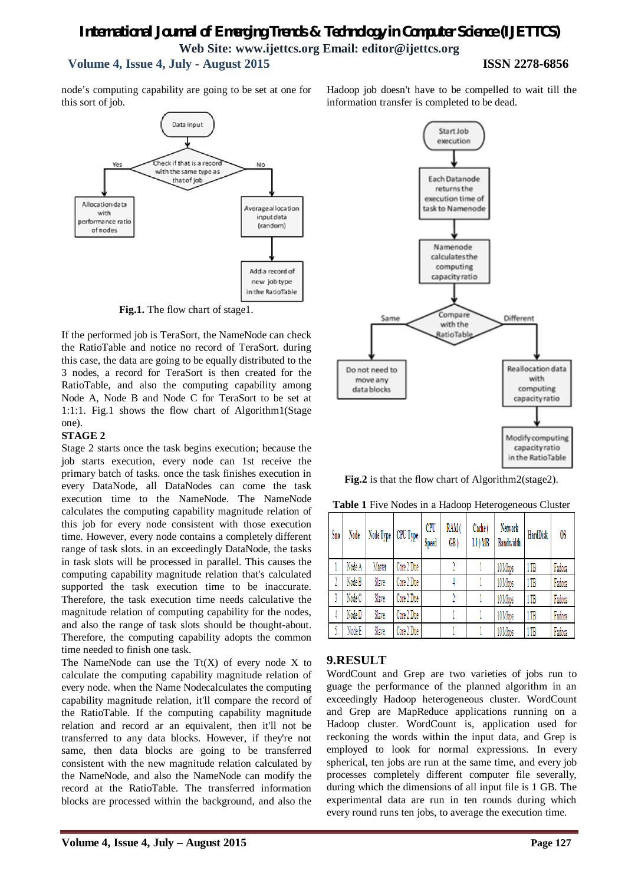#### *International Journal of Emerging Trends & Technology in Computer Science (IJETTCS)* **Web Site: www.ijettcs.org Email: editor@ijettcs.org Volume 4, Issue 4, July - August 2015 ISSN 2278-6856**

node's computing capability are going to be set at one for this sort of job.



**Fig.1.** The flow chart of stage1.

If the performed job is TeraSort, the NameNode can check the RatioTable and notice no record of TeraSort. during this case, the data are going to be equally distributed to the 3 nodes, a record for TeraSort is then created for the RatioTable, and also the computing capability among Node A, Node B and Node C for TeraSort to be set at 1:1:1. Fig.1 shows the flow chart of Algorithm1(Stage one).

#### **STAGE 2**

Stage 2 starts once the task begins execution; because the job starts execution, every node can 1st receive the primary batch of tasks. once the task finishes execution in every DataNode, all DataNodes can come the task execution time to the NameNode. The NameNode calculates the computing capability magnitude relation of this job for every node consistent with those execution time. However, every node contains a completely different range of task slots. in an exceedingly DataNode, the tasks in task slots will be processed in parallel. This causes the computing capability magnitude relation that's calculated supported the task execution time to be inaccurate. Therefore, the task execution time needs calculative the magnitude relation of computing capability for the nodes, and also the range of task slots should be thought-about. Therefore, the computing capability adopts the common time needed to finish one task.

The NameNode can use the  $Tt(X)$  of every node X to calculate the computing capability magnitude relation of every node. when the Name Nodecalculates the computing capability magnitude relation, it'll compare the record of the RatioTable. If the computing capability magnitude relation and record ar an equivalent, then it'll not be transferred to any data blocks. However, if they're not same, then data blocks are going to be transferred consistent with the new magnitude relation calculated by the NameNode, and also the NameNode can modify the record at the RatioTable. The transferred information blocks are processed within the background, and also the Hadoop job doesn't have to be compelled to wait till the information transfer is completed to be dead.



**Fig.2** is that the flow chart of Algorithm2(stage2).

|  |  |  |  |  | Table 1 Five Nodes in a Hadoop Heterogeneous Cluster |  |
|--|--|--|--|--|------------------------------------------------------|--|
|--|--|--|--|--|------------------------------------------------------|--|

| Sno | Node   |        | Node Type   CPU Type | <b>CPU</b><br>Speed | RAM(<br>GB) | Cache (<br>L1) MB | Network<br><b>Bandwidth</b> | <b>HardDisk</b> | OS     |
|-----|--------|--------|----------------------|---------------------|-------------|-------------------|-----------------------------|-----------------|--------|
|     | Node A | Master | Core 2 Due           |                     |             |                   | 10 Mbps                     | 1 TB            | Fadora |
|     | Node B | Slave  | Core 2 Due           |                     |             |                   | 10 Mbps                     | 1TB             | Fadora |
|     | Node C | Slave  | Core 2 Due           |                     |             |                   | 10 Mbps                     | 1 TB            | Fadora |
| 4   | Node D | Slave  | Core 2 Due           |                     |             |                   | 10Mbps                      | 1 TB            | Fadora |
|     | Node E | Slave  | Core 2 Due           |                     |             |                   | 10 Mbps                     | 1 TB            | Fadora |

#### **9.RESULT**

WordCount and Grep are two varieties of jobs run to guage the performance of the planned algorithm in an exceedingly Hadoop heterogeneous cluster. WordCount and Grep are MapReduce applications running on a Hadoop cluster. WordCount is, application used for reckoning the words within the input data, and Grep is employed to look for normal expressions. In every spherical, ten jobs are run at the same time, and every job processes completely different computer file severally, during which the dimensions of all input file is 1 GB. The experimental data are run in ten rounds during which every round runs ten jobs, to average the execution time.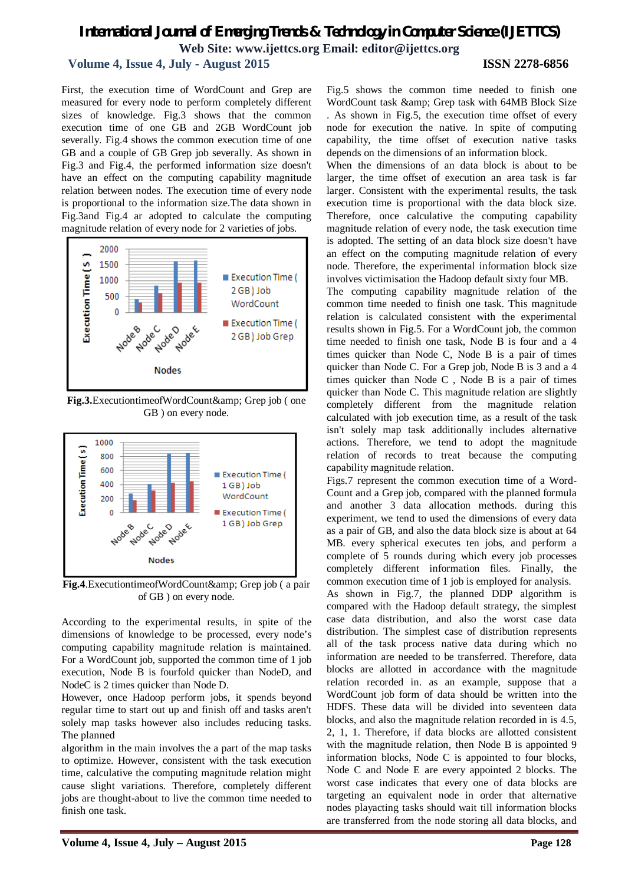#### **Volume 4, Issue 4, July - August 2015 ISSN 2278-6856**

First, the execution time of WordCount and Grep are measured for every node to perform completely different sizes of knowledge. Fig.3 shows that the common execution time of one GB and 2GB WordCount job severally. Fig.4 shows the common execution time of one GB and a couple of GB Grep job severally. As shown in Fig.3 and Fig.4, the performed information size doesn't have an effect on the computing capability magnitude relation between nodes. The execution time of every node is proportional to the information size.The data shown in Fig.3and Fig.4 ar adopted to calculate the computing magnitude relation of every node for 2 varieties of jobs.



**Fig.3.**ExecutiontimeofWordCount& Grep job (one GB ) on every node.



Fig.4.ExecutiontimeofWordCount& Grep job (a pair of GB ) on every node.

According to the experimental results, in spite of the dimensions of knowledge to be processed, every node's computing capability magnitude relation is maintained. For a WordCount job, supported the common time of 1 job execution, Node B is fourfold quicker than NodeD, and NodeC is 2 times quicker than Node D.

However, once Hadoop perform jobs, it spends beyond regular time to start out up and finish off and tasks aren't solely map tasks however also includes reducing tasks. The planned

algorithm in the main involves the a part of the map tasks to optimize. However, consistent with the task execution time, calculative the computing magnitude relation might cause slight variations. Therefore, completely different jobs are thought-about to live the common time needed to finish one task.

Fig.5 shows the common time needed to finish one WordCount task & amp; Grep task with 64MB Block Size . As shown in Fig.5, the execution time offset of every node for execution the native. In spite of computing capability, the time offset of execution native tasks depends on the dimensions of an information block.

When the dimensions of an data block is about to be larger, the time offset of execution an area task is far larger. Consistent with the experimental results, the task execution time is proportional with the data block size. Therefore, once calculative the computing capability magnitude relation of every node, the task execution time is adopted. The setting of an data block size doesn't have an effect on the computing magnitude relation of every node. Therefore, the experimental information block size involves victimisation the Hadoop default sixty four MB.

The computing capability magnitude relation of the common time needed to finish one task. This magnitude relation is calculated consistent with the experimental results shown in Fig.5. For a WordCount job, the common time needed to finish one task, Node B is four and a 4 times quicker than Node C, Node B is a pair of times quicker than Node C. For a Grep job, Node B is 3 and a 4 times quicker than Node C , Node B is a pair of times quicker than Node C. This magnitude relation are slightly completely different from the magnitude relation calculated with job execution time, as a result of the task isn't solely map task additionally includes alternative actions. Therefore, we tend to adopt the magnitude relation of records to treat because the computing capability magnitude relation.

Figs.7 represent the common execution time of a Word-Count and a Grep job, compared with the planned formula and another 3 data allocation methods. during this experiment, we tend to used the dimensions of every data as a pair of GB, and also the data block size is about at 64 MB. every spherical executes ten jobs, and perform a complete of 5 rounds during which every job processes completely different information files. Finally, the common execution time of 1 job is employed for analysis. As shown in Fig.7, the planned DDP algorithm is compared with the Hadoop default strategy, the simplest case data distribution, and also the worst case data distribution. The simplest case of distribution represents all of the task process native data during which no information are needed to be transferred. Therefore, data blocks are allotted in accordance with the magnitude relation recorded in. as an example, suppose that a WordCount job form of data should be written into the HDFS. These data will be divided into seventeen data blocks, and also the magnitude relation recorded in is 4.5, 2, 1, 1. Therefore, if data blocks are allotted consistent with the magnitude relation, then Node B is appointed 9 information blocks, Node C is appointed to four blocks, Node C and Node E are every appointed 2 blocks. The worst case indicates that every one of data blocks are targeting an equivalent node in order that alternative nodes playacting tasks should wait till information blocks are transferred from the node storing all data blocks, and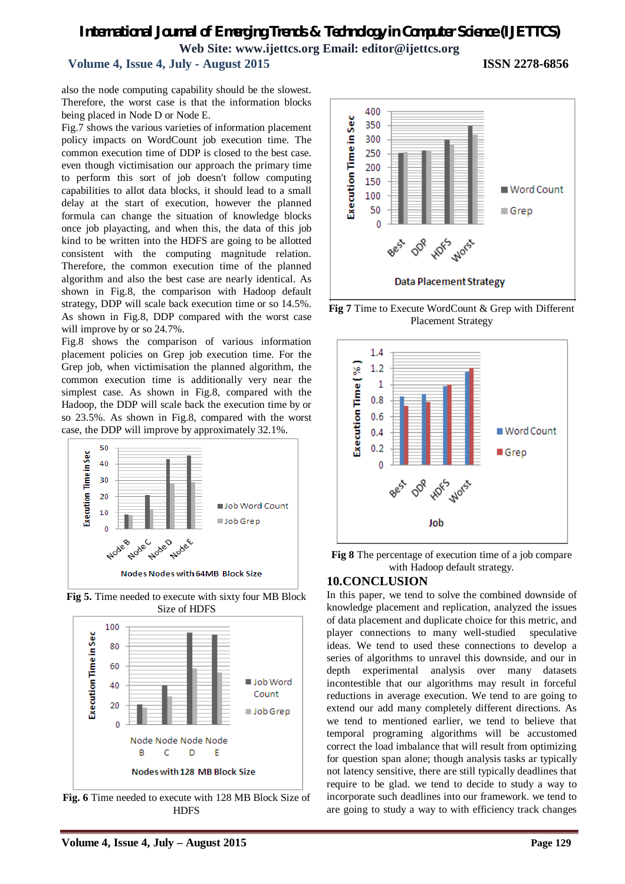#### **Volume 4, Issue 4, July - August 2015 ISSN 2278-6856**

also the node computing capability should be the slowest. Therefore, the worst case is that the information blocks being placed in Node D or Node E.

Fig.7 shows the various varieties of information placement policy impacts on WordCount job execution time. The common execution time of DDP is closed to the best case. even though victimisation our approach the primary time to perform this sort of job doesn't follow computing capabilities to allot data blocks, it should lead to a small delay at the start of execution, however the planned formula can change the situation of knowledge blocks once job playacting, and when this, the data of this job kind to be written into the HDFS are going to be allotted consistent with the computing magnitude relation. Therefore, the common execution time of the planned algorithm and also the best case are nearly identical. As shown in Fig.8, the comparison with Hadoop default strategy, DDP will scale back execution time or so 14.5%. As shown in Fig.8, DDP compared with the worst case will improve by or so 24.7%.

Fig.8 shows the comparison of various information placement policies on Grep job execution time. For the Grep job, when victimisation the planned algorithm, the common execution time is additionally very near the simplest case. As shown in Fig.8, compared with the Hadoop, the DDP will scale back the execution time by or so 23.5%. As shown in Fig.8, compared with the worst case, the DDP will improve by approximately 32.1%.



**Fig 5.** Time needed to execute with sixty four MB Block Size of HDFS



**Fig. 6** Time needed to execute with 128 MB Block Size of **HDFS** 



**Fig 7** Time to Execute WordCount & Grep with Different Placement Strategy



**Fig 8** The percentage of execution time of a job compare with Hadoop default strategy.

#### **10.CONCLUSION**

In this paper, we tend to solve the combined downside of knowledge placement and replication, analyzed the issues of data placement and duplicate choice for this metric, and player connections to many well-studied speculative ideas. We tend to used these connections to develop a series of algorithms to unravel this downside, and our in depth experimental analysis over many datasets incontestible that our algorithms may result in forceful reductions in average execution. We tend to are going to extend our add many completely different directions. As we tend to mentioned earlier, we tend to believe that temporal programing algorithms will be accustomed correct the load imbalance that will result from optimizing for question span alone; though analysis tasks ar typically not latency sensitive, there are still typically deadlines that require to be glad. we tend to decide to study a way to incorporate such deadlines into our framework. we tend to are going to study a way to with efficiency track changes